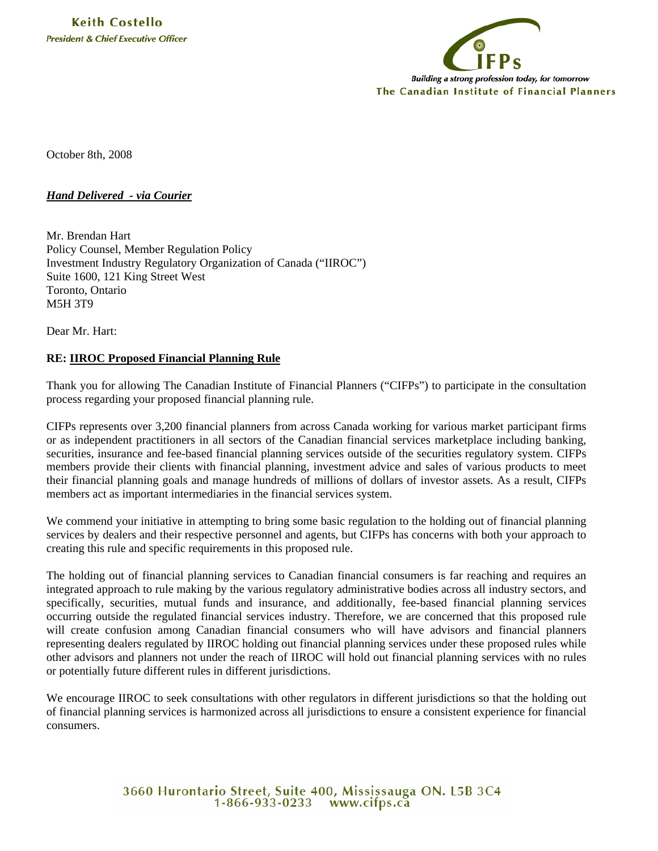

October 8th, 2008

## *Hand Delivered - via Courier*

Mr. Brendan Hart Policy Counsel, Member Regulation Policy Investment Industry Regulatory Organization of Canada ("IIROC") Suite 1600, 121 King Street West Toronto, Ontario M5H 3T9

Dear Mr. Hart:

## **RE: IIROC Proposed Financial Planning Rule**

Thank you for allowing The Canadian Institute of Financial Planners ("CIFPs") to participate in the consultation process regarding your proposed financial planning rule.

CIFPs represents over 3,200 financial planners from across Canada working for various market participant firms or as independent practitioners in all sectors of the Canadian financial services marketplace including banking, securities, insurance and fee-based financial planning services outside of the securities regulatory system. CIFPs members provide their clients with financial planning, investment advice and sales of various products to meet their financial planning goals and manage hundreds of millions of dollars of investor assets. As a result, CIFPs members act as important intermediaries in the financial services system.

We commend your initiative in attempting to bring some basic regulation to the holding out of financial planning services by dealers and their respective personnel and agents, but CIFPs has concerns with both your approach to creating this rule and specific requirements in this proposed rule.

The holding out of financial planning services to Canadian financial consumers is far reaching and requires an integrated approach to rule making by the various regulatory administrative bodies across all industry sectors, and specifically, securities, mutual funds and insurance, and additionally, fee-based financial planning services occurring outside the regulated financial services industry. Therefore, we are concerned that this proposed rule will create confusion among Canadian financial consumers who will have advisors and financial planners representing dealers regulated by IIROC holding out financial planning services under these proposed rules while other advisors and planners not under the reach of IIROC will hold out financial planning services with no rules or potentially future different rules in different jurisdictions.

We encourage IIROC to seek consultations with other regulators in different jurisdictions so that the holding out of financial planning services is harmonized across all jurisdictions to ensure a consistent experience for financial consumers.